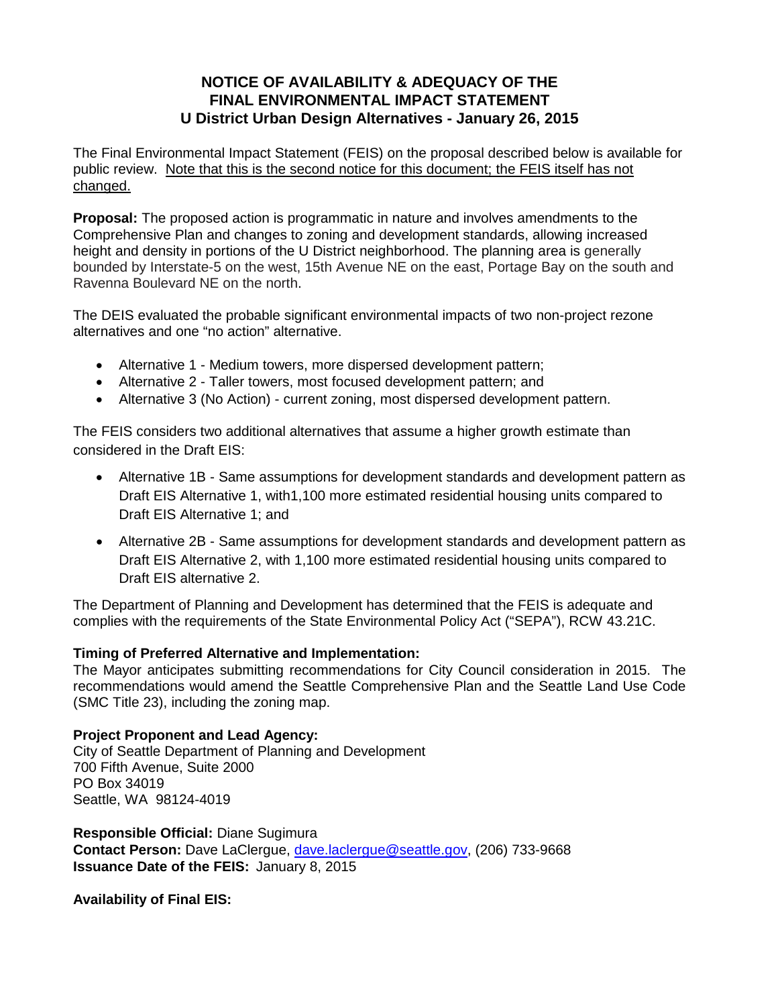## **NOTICE OF AVAILABILITY & ADEQUACY OF THE FINAL ENVIRONMENTAL IMPACT STATEMENT U District Urban Design Alternatives - January 26, 2015**

The Final Environmental Impact Statement (FEIS) on the proposal described below is available for public review. Note that this is the second notice for this document; the FEIS itself has not changed.

**Proposal:** The proposed action is programmatic in nature and involves amendments to the Comprehensive Plan and changes to zoning and development standards, allowing increased height and density in portions of the U District neighborhood. The planning area is generally bounded by Interstate-5 on the west, 15th Avenue NE on the east, Portage Bay on the south and Ravenna Boulevard NE on the north.

The DEIS evaluated the probable significant environmental impacts of two non-project rezone alternatives and one "no action" alternative.

- Alternative 1 Medium towers, more dispersed development pattern;
- Alternative 2 Taller towers, most focused development pattern; and
- Alternative 3 (No Action) current zoning, most dispersed development pattern.

The FEIS considers two additional alternatives that assume a higher growth estimate than considered in the Draft EIS:

- Alternative 1B Same assumptions for development standards and development pattern as Draft EIS Alternative 1, with1,100 more estimated residential housing units compared to Draft EIS Alternative 1; and
- Alternative 2B Same assumptions for development standards and development pattern as Draft EIS Alternative 2, with 1,100 more estimated residential housing units compared to Draft EIS alternative 2.

The Department of Planning and Development has determined that the FEIS is adequate and complies with the requirements of the State Environmental Policy Act ("SEPA"), RCW 43.21C.

## **Timing of Preferred Alternative and Implementation:**

The Mayor anticipates submitting recommendations for City Council consideration in 2015. The recommendations would amend the Seattle Comprehensive Plan and the Seattle Land Use Code (SMC Title 23), including the zoning map.

## **Project Proponent and Lead Agency:**

City of Seattle Department of Planning and Development 700 Fifth Avenue, Suite 2000 PO Box 34019 Seattle, WA 98124-4019

**Responsible Official:** Diane Sugimura **Contact Person:** Dave LaClergue, [dave.laclergue@seattle.gov,](mailto:dave.laclergue@seattle.gov) (206) 733-9668 **Issuance Date of the FEIS:** January 8, 2015

**Availability of Final EIS:**